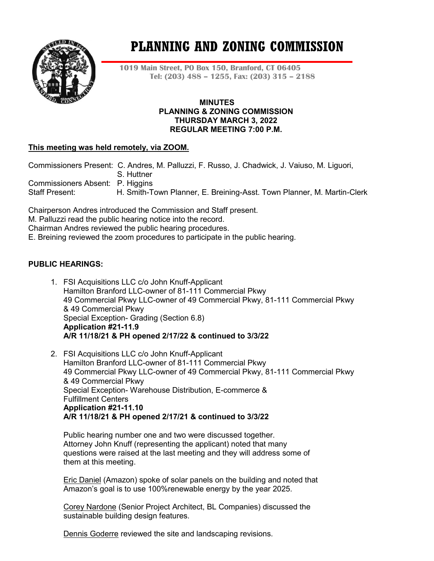

# **PLANNING AND ZONING COMMISSION**

**1019 Main Street, PO Box 150, Branford, CT 06405 Tel: (203) 488 – 1255, Fax: (203) 315 – 2188**

#### **MINUTES PLANNING & ZONING COMMISSION THURSDAY MARCH 3, 2022 REGULAR MEETING 7:00 P.M.**

# **This meeting was held remotely, via ZOOM.**

Commissioners Present: C. Andres, M. Palluzzi, F. Russo, J. Chadwick, J. Vaiuso, M. Liguori, S. Huttner Commissioners Absent: P. Higgins<br>Staff Present: H. Smith-To H. Smith-Town Planner, E. Breining-Asst. Town Planner, M. Martin-Clerk

Chairperson Andres introduced the Commission and Staff present.

M. Palluzzi read the public hearing notice into the record.

Chairman Andres reviewed the public hearing procedures.

E. Breining reviewed the zoom procedures to participate in the public hearing.

## **PUBLIC HEARINGS:**

- 1. FSI Acquisitions LLC c/o John Knuff-Applicant Hamilton Branford LLC-owner of 81-111 Commercial Pkwy 49 Commercial Pkwy LLC-owner of 49 Commercial Pkwy, 81-111 Commercial Pkwy & 49 Commercial Pkwy Special Exception- Grading (Section 6.8) **Application #21-11.9 A/R 11/18/21 & PH opened 2/17/22 & continued to 3/3/22**
- 2. FSI Acquisitions LLC c/o John Knuff-Applicant Hamilton Branford LLC-owner of 81-111 Commercial Pkwy 49 Commercial Pkwy LLC-owner of 49 Commercial Pkwy, 81-111 Commercial Pkwy & 49 Commercial Pkwy Special Exception- Warehouse Distribution, E-commerce & Fulfillment Centers **Application #21-11.10 A/R 11/18/21 & PH opened 2/17/21 & continued to 3/3/22**

Public hearing number one and two were discussed together. Attorney John Knuff (representing the applicant) noted that many questions were raised at the last meeting and they will address some of them at this meeting.

Eric Daniel (Amazon) spoke of solar panels on the building and noted that Amazon's goal is to use 100%renewable energy by the year 2025.

Corey Nardone (Senior Project Architect, BL Companies) discussed the sustainable building design features.

Dennis Goderre reviewed the site and landscaping revisions.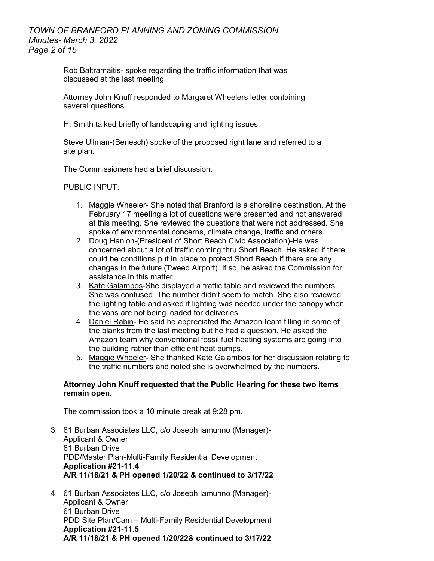## *TOWN OF BRANFORD PLANNING AND ZONING COMMISSION Minutes- March 3, 2022 Page 2 of 15*

Rob Baltramaitis- spoke regarding the traffic information that was discussed at the last meeting.

Attorney John Knuff responded to Margaret Wheelers letter containing several questions.

H. Smith talked briefly of landscaping and lighting issues.

Steve Ullman-(Benesch) spoke of the proposed right lane and referred to a site plan.

The Commissioners had a brief discussion.

PUBLIC INPUT:

- 1. Maggie Wheeler- She noted that Branford is a shoreline destination. At the February 17 meeting a lot of questions were presented and not answered at this meeting. She reviewed the questions that were not addressed. She spoke of environmental concerns, climate change, traffic and others.
- 2. Doug Hanlon-(President of Short Beach Civic Association)-He was concerned about a lot of traffic coming thru Short Beach. He asked if there could be conditions put in place to protect Short Beach if there are any changes in the future (Tweed Airport). If so, he asked the Commission for assistance in this matter.
- 3. Kate Galambos-She displayed a traffic table and reviewed the numbers. She was confused. The number didn't seem to match. She also reviewed the lighting table and asked if lighting was needed under the canopy when the vans are not being loaded for deliveries.
- 4. Daniel Rabin- He said he appreciated the Amazon team filling in some of the blanks from the last meeting but he had a question. He asked the Amazon team why conventional fossil fuel heating systems are going into the building rather than efficient heat pumps.
- 5. Maggie Wheeler- She thanked Kate Galambos for her discussion relating to the traffic numbers and noted she is overwhelmed by the numbers.

#### **Attorney John Knuff requested that the Public Hearing for these two items remain open.**

The commission took a 10 minute break at 9:28 pm.

- 3. 61 Burban Associates LLC, c/o Joseph Iamunno (Manager)- Applicant & Owner 61 Burban Drive PDD/Master Plan-Multi-Family Residential Development **Application #21-11.4 A/R 11/18/21 & PH opened 1/20/22 & continued to 3/17/22**
- 4. 61 Burban Associates LLC, c/o Joseph Iamunno (Manager)- Applicant & Owner 61 Burban Drive PDD Site Plan/Cam – Multi-Family Residential Development **Application #21-11.5 A/R 11/18/21 & PH opened 1/20/22& continued to 3/17/22**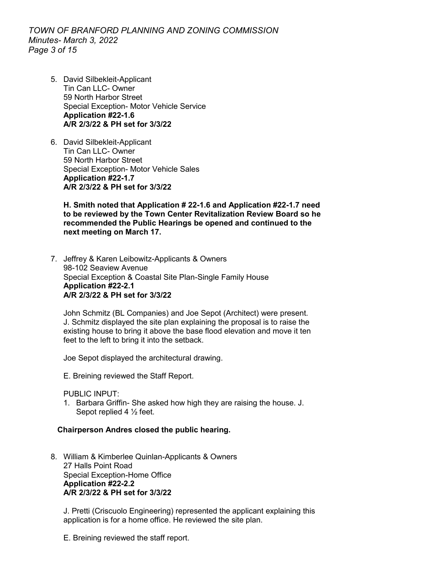*TOWN OF BRANFORD PLANNING AND ZONING COMMISSION Minutes- March 3, 2022 Page 3 of 15*

- 5. David Silbekleit-Applicant Tin Can LLC- Owner 59 North Harbor Street Special Exception- Motor Vehicle Service **Application #22-1.6 A/R 2/3/22 & PH set for 3/3/22**
- 6. David Silbekleit-Applicant Tin Can LLC- Owner 59 North Harbor Street Special Exception- Motor Vehicle Sales **Application #22-1.7 A/R 2/3/22 & PH set for 3/3/22**

**H. Smith noted that Application # 22-1.6 and Application #22-1.7 need to be reviewed by the Town Center Revitalization Review Board so he recommended the Public Hearings be opened and continued to the next meeting on March 17.** 

7. Jeffrey & Karen Leibowitz-Applicants & Owners 98-102 Seaview Avenue Special Exception & Coastal Site Plan-Single Family House **Application #22-2.1 A/R 2/3/22 & PH set for 3/3/22**

John Schmitz (BL Companies) and Joe Sepot (Architect) were present. J. Schmitz displayed the site plan explaining the proposal is to raise the existing house to bring it above the base flood elevation and move it ten feet to the left to bring it into the setback.

Joe Sepot displayed the architectural drawing.

E. Breining reviewed the Staff Report.

PUBLIC INPUT:

1. Barbara Griffin- She asked how high they are raising the house. J. Sepot replied 4 ½ feet.

#### **Chairperson Andres closed the public hearing.**

8. William & Kimberlee Quinlan-Applicants & Owners 27 Halls Point Road Special Exception-Home Office **Application #22-2.2 A/R 2/3/22 & PH set for 3/3/22**

J. Pretti (Criscuolo Engineering) represented the applicant explaining this application is for a home office. He reviewed the site plan.

E. Breining reviewed the staff report.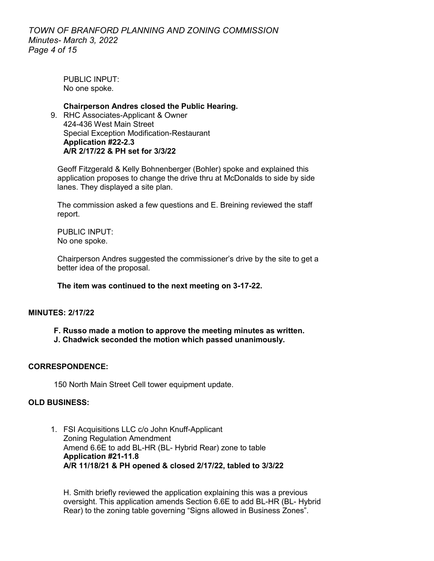PUBLIC INPUT<sup>.</sup> No one spoke.

**Chairperson Andres closed the Public Hearing.**  9. RHC Associates-Applicant & Owner 424-436 West Main Street Special Exception Modification-Restaurant **Application #22-2.3 A/R 2/17/22 & PH set for 3/3/22**

Geoff Fitzgerald & Kelly Bohnenberger (Bohler) spoke and explained this application proposes to change the drive thru at McDonalds to side by side lanes. They displayed a site plan.

The commission asked a few questions and E. Breining reviewed the staff report.

PUBLIC INPUT: No one spoke.

Chairperson Andres suggested the commissioner's drive by the site to get a better idea of the proposal.

## **The item was continued to the next meeting on 3-17-22.**

## **MINUTES: 2/17/22**

- **F. Russo made a motion to approve the meeting minutes as written.**
- **J. Chadwick seconded the motion which passed unanimously.**

## **CORRESPONDENCE:**

150 North Main Street Cell tower equipment update.

#### **OLD BUSINESS:**

1. FSI Acquisitions LLC c/o John Knuff-Applicant Zoning Regulation Amendment Amend 6.6E to add BL-HR (BL- Hybrid Rear) zone to table **Application #21-11.8 A/R 11/18/21 & PH opened & closed 2/17/22, tabled to 3/3/22**

H. Smith briefly reviewed the application explaining this was a previous oversight. This application amends Section 6.6E to add BL-HR (BL- Hybrid Rear) to the zoning table governing "Signs allowed in Business Zones".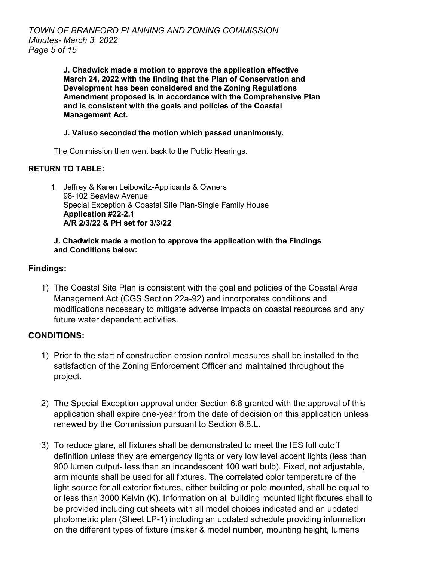**J. Chadwick made a motion to approve the application effective March 24, 2022 with the finding that the Plan of Conservation and Development has been considered and the Zoning Regulations Amendment proposed is in accordance with the Comprehensive Plan and is consistent with the goals and policies of the Coastal Management Act.**

# **J. Vaiuso seconded the motion which passed unanimously.**

The Commission then went back to the Public Hearings.

# **RETURN TO TABLE:**

1. Jeffrey & Karen Leibowitz-Applicants & Owners 98-102 Seaview Avenue Special Exception & Coastal Site Plan-Single Family House **Application #22-2.1 A/R 2/3/22 & PH set for 3/3/22**

## **J. Chadwick made a motion to approve the application with the Findings and Conditions below:**

# **Findings:**

1) The Coastal Site Plan is consistent with the goal and policies of the Coastal Area Management Act (CGS Section 22a-92) and incorporates conditions and modifications necessary to mitigate adverse impacts on coastal resources and any future water dependent activities.

# **CONDITIONS:**

- 1) Prior to the start of construction erosion control measures shall be installed to the satisfaction of the Zoning Enforcement Officer and maintained throughout the project.
- 2) The Special Exception approval under Section 6.8 granted with the approval of this application shall expire one-year from the date of decision on this application unless renewed by the Commission pursuant to Section 6.8.L.
- 3) To reduce glare, all fixtures shall be demonstrated to meet the IES full cutoff definition unless they are emergency lights or very low level accent lights (less than 900 lumen output- less than an incandescent 100 watt bulb). Fixed, not adjustable, arm mounts shall be used for all fixtures. The correlated color temperature of the light source for all exterior fixtures, either building or pole mounted, shall be equal to or less than 3000 Kelvin (K). Information on all building mounted light fixtures shall to be provided including cut sheets with all model choices indicated and an updated photometric plan (Sheet LP-1) including an updated schedule providing information on the different types of fixture (maker & model number, mounting height, lumens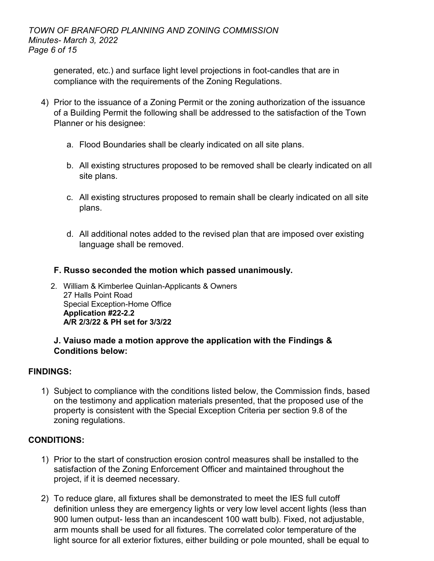generated, etc.) and surface light level projections in foot-candles that are in compliance with the requirements of the Zoning Regulations.

- 4) Prior to the issuance of a Zoning Permit or the zoning authorization of the issuance of a Building Permit the following shall be addressed to the satisfaction of the Town Planner or his designee:
	- a. Flood Boundaries shall be clearly indicated on all site plans.
	- b. All existing structures proposed to be removed shall be clearly indicated on all site plans.
	- c. All existing structures proposed to remain shall be clearly indicated on all site plans.
	- d. All additional notes added to the revised plan that are imposed over existing language shall be removed.
	- **F. Russo seconded the motion which passed unanimously.**
	- 2. William & Kimberlee Quinlan-Applicants & Owners 27 Halls Point Road Special Exception-Home Office **Application #22-2.2 A/R 2/3/22 & PH set for 3/3/22**

# **J. Vaiuso made a motion approve the application with the Findings & Conditions below:**

# **FINDINGS:**

1) Subject to compliance with the conditions listed below, the Commission finds, based on the testimony and application materials presented, that the proposed use of the property is consistent with the Special Exception Criteria per section 9.8 of the zoning regulations.

# **CONDITIONS:**

- 1) Prior to the start of construction erosion control measures shall be installed to the satisfaction of the Zoning Enforcement Officer and maintained throughout the project, if it is deemed necessary.
- 2) To reduce glare, all fixtures shall be demonstrated to meet the IES full cutoff definition unless they are emergency lights or very low level accent lights (less than 900 lumen output- less than an incandescent 100 watt bulb). Fixed, not adjustable, arm mounts shall be used for all fixtures. The correlated color temperature of the light source for all exterior fixtures, either building or pole mounted, shall be equal to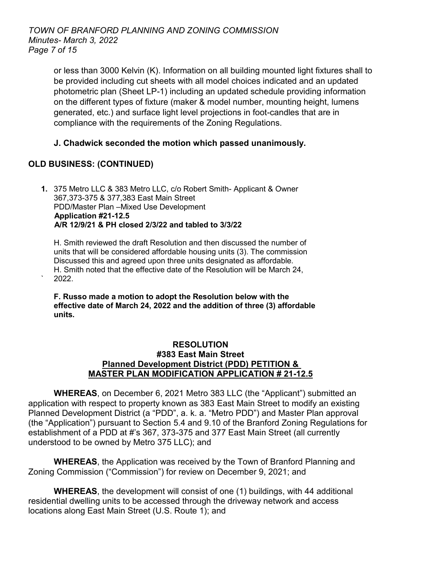*TOWN OF BRANFORD PLANNING AND ZONING COMMISSION Minutes- March 3, 2022 Page 7 of 15*

> or less than 3000 Kelvin (K). Information on all building mounted light fixtures shall to be provided including cut sheets with all model choices indicated and an updated photometric plan (Sheet LP-1) including an updated schedule providing information on the different types of fixture (maker & model number, mounting height, lumens generated, etc.) and surface light level projections in foot-candles that are in compliance with the requirements of the Zoning Regulations.

# **J. Chadwick seconded the motion which passed unanimously.**

# **OLD BUSINESS: (CONTINUED)**

**1.** 375 Metro LLC & 383 Metro LLC, c/o Robert Smith- Applicant & Owner 367,373-375 & 377,383 East Main Street PDD/Master Plan –Mixed Use Development **Application #21-12.5 A/R 12/9/21 & PH closed 2/3/22 and tabled to 3/3/22**

H. Smith reviewed the draft Resolution and then discussed the number of units that will be considered affordable housing units (3). The commission Discussed this and agreed upon three units designated as affordable. H. Smith noted that the effective date of the Resolution will be March 24, ` 2022.

**F. Russo made a motion to adopt the Resolution below with the effective date of March 24, 2022 and the addition of three (3) affordable units.**

## **RESOLUTION #383 East Main Street Planned Development District (PDD) PETITION & MASTER PLAN MODIFICATION APPLICATION # 21-12.5**

**WHEREAS**, on December 6, 2021 Metro 383 LLC (the "Applicant") submitted an application with respect to property known as 383 East Main Street to modify an existing Planned Development District (a "PDD", a. k. a. "Metro PDD") and Master Plan approval (the "Application") pursuant to Section 5.4 and 9.10 of the Branford Zoning Regulations for establishment of a PDD at #'s 367, 373-375 and 377 East Main Street (all currently understood to be owned by Metro 375 LLC); and

**WHEREAS**, the Application was received by the Town of Branford Planning and Zoning Commission ("Commission") for review on December 9, 2021; and

**WHEREAS**, the development will consist of one (1) buildings, with 44 additional residential dwelling units to be accessed through the driveway network and access locations along East Main Street (U.S. Route 1); and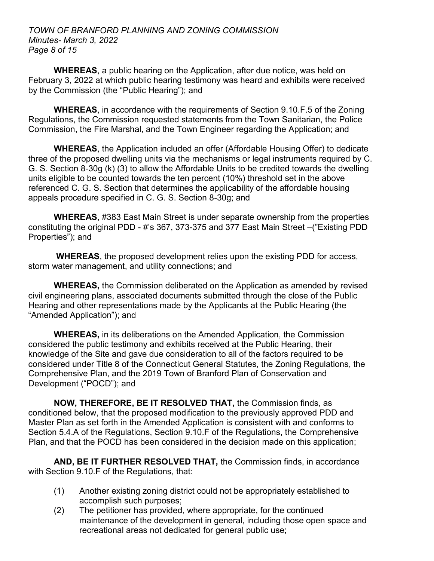## *TOWN OF BRANFORD PLANNING AND ZONING COMMISSION Minutes- March 3, 2022 Page 8 of 15*

**WHEREAS**, a public hearing on the Application, after due notice, was held on February 3, 2022 at which public hearing testimony was heard and exhibits were received by the Commission (the "Public Hearing"); and

**WHEREAS**, in accordance with the requirements of Section 9.10.F.5 of the Zoning Regulations, the Commission requested statements from the Town Sanitarian, the Police Commission, the Fire Marshal, and the Town Engineer regarding the Application; and

**WHEREAS**, the Application included an offer (Affordable Housing Offer) to dedicate three of the proposed dwelling units via the mechanisms or legal instruments required by C. G. S. Section 8-30g (k) (3) to allow the Affordable Units to be credited towards the dwelling units eligible to be counted towards the ten percent (10%) threshold set in the above referenced C. G. S. Section that determines the applicability of the affordable housing appeals procedure specified in C. G. S. Section 8-30g; and

**WHEREAS**, #383 East Main Street is under separate ownership from the properties constituting the original PDD - #'s 367, 373-375 and 377 East Main Street –("Existing PDD Properties"); and

**WHEREAS**, the proposed development relies upon the existing PDD for access, storm water management, and utility connections; and

**WHEREAS,** the Commission deliberated on the Application as amended by revised civil engineering plans, associated documents submitted through the close of the Public Hearing and other representations made by the Applicants at the Public Hearing (the "Amended Application"); and

**WHEREAS,** in its deliberations on the Amended Application, the Commission considered the public testimony and exhibits received at the Public Hearing, their knowledge of the Site and gave due consideration to all of the factors required to be considered under Title 8 of the Connecticut General Statutes, the Zoning Regulations, the Comprehensive Plan, and the 2019 Town of Branford Plan of Conservation and Development ("POCD"); and

**NOW, THEREFORE, BE IT RESOLVED THAT,** the Commission finds, as conditioned below, that the proposed modification to the previously approved PDD and Master Plan as set forth in the Amended Application is consistent with and conforms to Section 5.4.A of the Regulations, Section 9.10.F of the Regulations, the Comprehensive Plan, and that the POCD has been considered in the decision made on this application;

**AND, BE IT FURTHER RESOLVED THAT,** the Commission finds, in accordance with Section 9.10.F of the Regulations, that:

- (1) Another existing zoning district could not be appropriately established to accomplish such purposes;
- (2) The petitioner has provided, where appropriate, for the continued maintenance of the development in general, including those open space and recreational areas not dedicated for general public use;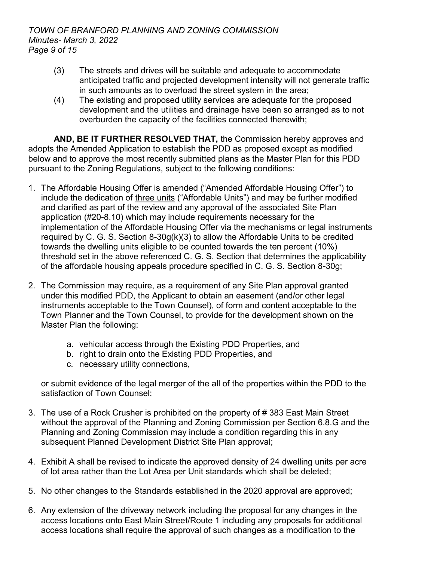- (3) The streets and drives will be suitable and adequate to accommodate anticipated traffic and projected development intensity will not generate traffic in such amounts as to overload the street system in the area;
- (4) The existing and proposed utility services are adequate for the proposed development and the utilities and drainage have been so arranged as to not overburden the capacity of the facilities connected therewith;

**AND, BE IT FURTHER RESOLVED THAT,** the Commission hereby approves and adopts the Amended Application to establish the PDD as proposed except as modified below and to approve the most recently submitted plans as the Master Plan for this PDD pursuant to the Zoning Regulations, subject to the following conditions:

- 1. The Affordable Housing Offer is amended ("Amended Affordable Housing Offer") to include the dedication of three units ("Affordable Units") and may be further modified and clarified as part of the review and any approval of the associated Site Plan application (#20-8.10) which may include requirements necessary for the implementation of the Affordable Housing Offer via the mechanisms or legal instruments required by C. G. S. Section  $8-30g(k)(3)$  to allow the Affordable Units to be credited towards the dwelling units eligible to be counted towards the ten percent (10%) threshold set in the above referenced C. G. S. Section that determines the applicability of the affordable housing appeals procedure specified in C. G. S. Section 8-30g;
- 2. The Commission may require, as a requirement of any Site Plan approval granted under this modified PDD, the Applicant to obtain an easement (and/or other legal instruments acceptable to the Town Counsel), of form and content acceptable to the Town Planner and the Town Counsel, to provide for the development shown on the Master Plan the following:
	- a. vehicular access through the Existing PDD Properties, and
	- b. right to drain onto the Existing PDD Properties, and
	- c. necessary utility connections,

or submit evidence of the legal merger of the all of the properties within the PDD to the satisfaction of Town Counsel;

- 3. The use of a Rock Crusher is prohibited on the property of # 383 East Main Street without the approval of the Planning and Zoning Commission per Section 6.8.G and the Planning and Zoning Commission may include a condition regarding this in any subsequent Planned Development District Site Plan approval;
- 4. Exhibit A shall be revised to indicate the approved density of 24 dwelling units per acre of lot area rather than the Lot Area per Unit standards which shall be deleted;
- 5. No other changes to the Standards established in the 2020 approval are approved;
- 6. Any extension of the driveway network including the proposal for any changes in the access locations onto East Main Street/Route 1 including any proposals for additional access locations shall require the approval of such changes as a modification to the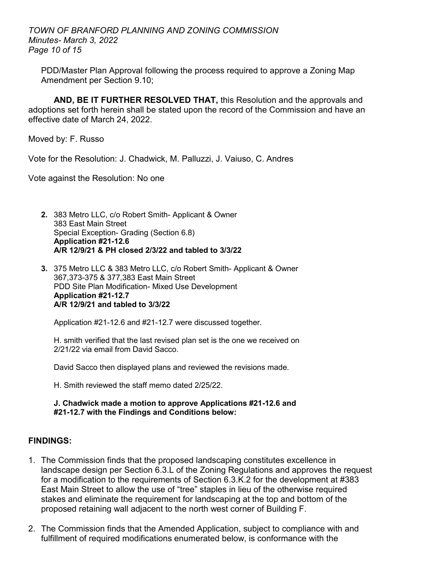*TOWN OF BRANFORD PLANNING AND ZONING COMMISSION Minutes- March 3, 2022 Page 10 of 15*

PDD/Master Plan Approval following the process required to approve a Zoning Map Amendment per Section 9.10;

**AND, BE IT FURTHER RESOLVED THAT,** this Resolution and the approvals and adoptions set forth herein shall be stated upon the record of the Commission and have an effective date of March 24, 2022.

Moved by: F. Russo

Vote for the Resolution: J. Chadwick, M. Palluzzi, J. Vaiuso, C. Andres

Vote against the Resolution: No one

- **2.** 383 Metro LLC, c/o Robert Smith- Applicant & Owner 383 East Main Street Special Exception- Grading (Section 6.8) **Application #21-12.6 A/R 12/9/21 & PH closed 2/3/22 and tabled to 3/3/22**
- **3.** 375 Metro LLC & 383 Metro LLC, c/o Robert Smith- Applicant & Owner 367,373-375 & 377,383 East Main Street PDD Site Plan Modification- Mixed Use Development **Application #21-12.7 A/R 12/9/21 and tabled to 3/3/22**

Application #21-12.6 and #21-12.7 were discussed together.

H. smith verified that the last revised plan set is the one we received on 2/21/22 via email from David Sacco.

David Sacco then displayed plans and reviewed the revisions made.

H. Smith reviewed the staff memo dated 2/25/22.

**J. Chadwick made a motion to approve Applications #21-12.6 and #21-12.7 with the Findings and Conditions below:**

# **FINDINGS:**

- 1. The Commission finds that the proposed landscaping constitutes excellence in landscape design per Section 6.3.L of the Zoning Regulations and approves the request for a modification to the requirements of Section 6.3.K.2 for the development at #383 East Main Street to allow the use of "tree" staples in lieu of the otherwise required stakes and eliminate the requirement for landscaping at the top and bottom of the proposed retaining wall adjacent to the north west corner of Building F.
- 2. The Commission finds that the Amended Application, subject to compliance with and fulfillment of required modifications enumerated below, is conformance with the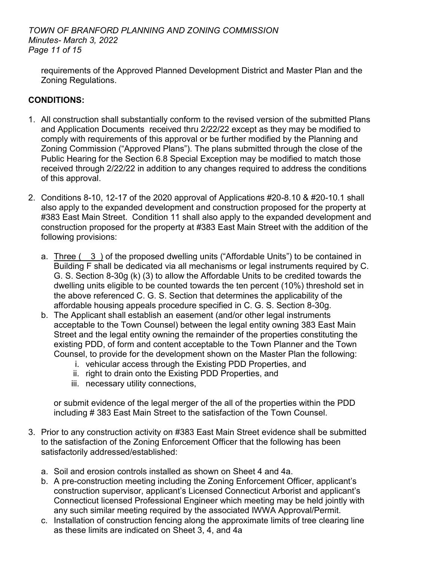## *TOWN OF BRANFORD PLANNING AND ZONING COMMISSION Minutes- March 3, 2022 Page 11 of 15*

requirements of the Approved Planned Development District and Master Plan and the Zoning Regulations.

# **CONDITIONS:**

- 1. All construction shall substantially conform to the revised version of the submitted Plans and Application Documents received thru 2/22/22 except as they may be modified to comply with requirements of this approval or be further modified by the Planning and Zoning Commission ("Approved Plans"). The plans submitted through the close of the Public Hearing for the Section 6.8 Special Exception may be modified to match those received through 2/22/22 in addition to any changes required to address the conditions of this approval.
- 2. Conditions 8-10, 12-17 of the 2020 approval of Applications #20-8.10 & #20-10.1 shall also apply to the expanded development and construction proposed for the property at #383 East Main Street. Condition 11 shall also apply to the expanded development and construction proposed for the property at #383 East Main Street with the addition of the following provisions:
	- a. Three (3) of the proposed dwelling units ("Affordable Units") to be contained in Building F shall be dedicated via all mechanisms or legal instruments required by C. G. S. Section 8-30g (k) (3) to allow the Affordable Units to be credited towards the dwelling units eligible to be counted towards the ten percent (10%) threshold set in the above referenced C. G. S. Section that determines the applicability of the affordable housing appeals procedure specified in C. G. S. Section 8-30g.
	- b. The Applicant shall establish an easement (and/or other legal instruments acceptable to the Town Counsel) between the legal entity owning 383 East Main Street and the legal entity owning the remainder of the properties constituting the existing PDD, of form and content acceptable to the Town Planner and the Town Counsel, to provide for the development shown on the Master Plan the following:
		- i. vehicular access through the Existing PDD Properties, and
		- ii. right to drain onto the Existing PDD Properties, and
		- iii. necessary utility connections,

or submit evidence of the legal merger of the all of the properties within the PDD including # 383 East Main Street to the satisfaction of the Town Counsel.

- 3. Prior to any construction activity on #383 East Main Street evidence shall be submitted to the satisfaction of the Zoning Enforcement Officer that the following has been satisfactorily addressed/established:
	- a. Soil and erosion controls installed as shown on Sheet 4 and 4a.
	- b. A pre-construction meeting including the Zoning Enforcement Officer, applicant's construction supervisor, applicant's Licensed Connecticut Arborist and applicant's Connecticut licensed Professional Engineer which meeting may be held jointly with any such similar meeting required by the associated IWWA Approval/Permit.
	- c. Installation of construction fencing along the approximate limits of tree clearing line as these limits are indicated on Sheet 3, 4, and 4a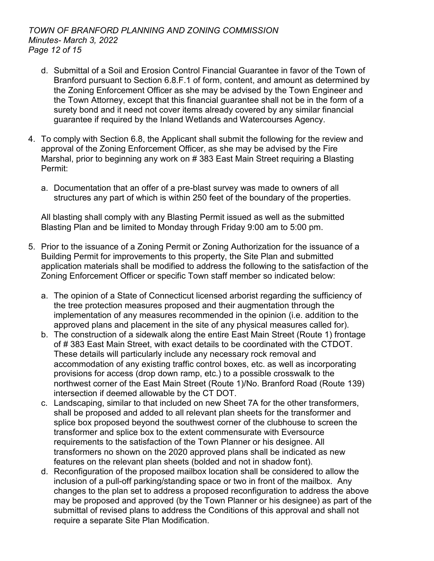- d. Submittal of a Soil and Erosion Control Financial Guarantee in favor of the Town of Branford pursuant to Section 6.8.F.1 of form, content, and amount as determined by the Zoning Enforcement Officer as she may be advised by the Town Engineer and the Town Attorney, except that this financial guarantee shall not be in the form of a surety bond and it need not cover items already covered by any similar financial guarantee if required by the Inland Wetlands and Watercourses Agency.
- 4. To comply with Section 6.8, the Applicant shall submit the following for the review and approval of the Zoning Enforcement Officer, as she may be advised by the Fire Marshal, prior to beginning any work on # 383 East Main Street requiring a Blasting Permit:
	- a. Documentation that an offer of a pre-blast survey was made to owners of all structures any part of which is within 250 feet of the boundary of the properties.

All blasting shall comply with any Blasting Permit issued as well as the submitted Blasting Plan and be limited to Monday through Friday 9:00 am to 5:00 pm.

- 5. Prior to the issuance of a Zoning Permit or Zoning Authorization for the issuance of a Building Permit for improvements to this property, the Site Plan and submitted application materials shall be modified to address the following to the satisfaction of the Zoning Enforcement Officer or specific Town staff member so indicated below:
	- a. The opinion of a State of Connecticut licensed arborist regarding the sufficiency of the tree protection measures proposed and their augmentation through the implementation of any measures recommended in the opinion (i.e. addition to the approved plans and placement in the site of any physical measures called for).
	- b. The construction of a sidewalk along the entire East Main Street (Route 1) frontage of # 383 East Main Street, with exact details to be coordinated with the CTDOT. These details will particularly include any necessary rock removal and accommodation of any existing traffic control boxes, etc. as well as incorporating provisions for access (drop down ramp, etc.) to a possible crosswalk to the northwest corner of the East Main Street (Route 1)/No. Branford Road (Route 139) intersection if deemed allowable by the CT DOT.
	- c. Landscaping, similar to that included on new Sheet 7A for the other transformers, shall be proposed and added to all relevant plan sheets for the transformer and splice box proposed beyond the southwest corner of the clubhouse to screen the transformer and splice box to the extent commensurate with Eversource requirements to the satisfaction of the Town Planner or his designee. All transformers no shown on the 2020 approved plans shall be indicated as new features on the relevant plan sheets (bolded and not in shadow font).
	- d. Reconfiguration of the proposed mailbox location shall be considered to allow the inclusion of a pull-off parking/standing space or two in front of the mailbox. Any changes to the plan set to address a proposed reconfiguration to address the above may be proposed and approved (by the Town Planner or his designee) as part of the submittal of revised plans to address the Conditions of this approval and shall not require a separate Site Plan Modification.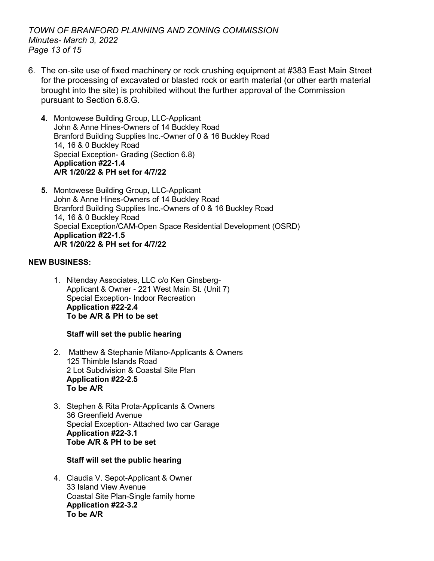*TOWN OF BRANFORD PLANNING AND ZONING COMMISSION Minutes- March 3, 2022 Page 13 of 15*

- 6. The on-site use of fixed machinery or rock crushing equipment at #383 East Main Street for the processing of excavated or blasted rock or earth material (or other earth material brought into the site) is prohibited without the further approval of the Commission pursuant to Section 6.8.G.
	- **4.** Montowese Building Group, LLC-Applicant John & Anne Hines-Owners of 14 Buckley Road Branford Building Supplies Inc.-Owner of 0 & 16 Buckley Road 14, 16 & 0 Buckley Road Special Exception- Grading (Section 6.8) **Application #22-1.4 A/R 1/20/22 & PH set for 4/7/22**
	- **5.** Montowese Building Group, LLC-Applicant John & Anne Hines-Owners of 14 Buckley Road Branford Building Supplies Inc.-Owners of 0 & 16 Buckley Road 14, 16 & 0 Buckley Road Special Exception/CAM-Open Space Residential Development (OSRD) **Application #22-1.5 A/R 1/20/22 & PH set for 4/7/22**

## **NEW BUSINESS:**

1. Nitenday Associates, LLC c/o Ken Ginsberg-Applicant & Owner - 221 West Main St. (Unit 7) Special Exception- Indoor Recreation **Application #22-2.4 To be A/R & PH to be set**

## **Staff will set the public hearing**

- 2. Matthew & Stephanie Milano-Applicants & Owners 125 Thimble Islands Road 2 Lot Subdivision & Coastal Site Plan **Application #22-2.5 To be A/R**
- 3. Stephen & Rita Prota-Applicants & Owners 36 Greenfield Avenue Special Exception- Attached two car Garage **Application #22-3.1 Tobe A/R & PH to be set**

# **Staff will set the public hearing**

4. Claudia V. Sepot-Applicant & Owner 33 Island View Avenue Coastal Site Plan-Single family home **Application #22-3.2 To be A/R**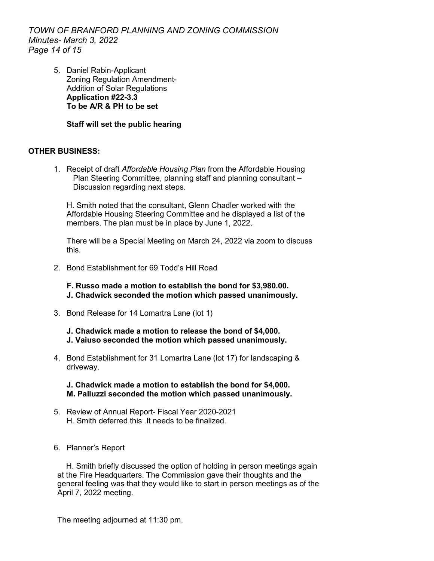*TOWN OF BRANFORD PLANNING AND ZONING COMMISSION Minutes- March 3, 2022 Page 14 of 15*

> 5. Daniel Rabin-Applicant Zoning Regulation Amendment-Addition of Solar Regulations **Application #22-3.3 To be A/R & PH to be set**

## **Staff will set the public hearing**

#### **OTHER BUSINESS:**

1. Receipt of draft *Affordable Housing Plan* from the Affordable Housing Plan Steering Committee, planning staff and planning consultant – Discussion regarding next steps.

H. Smith noted that the consultant, Glenn Chadler worked with the Affordable Housing Steering Committee and he displayed a list of the members. The plan must be in place by June 1, 2022.

There will be a Special Meeting on March 24, 2022 via zoom to discuss this.

2. Bond Establishment for 69 Todd's Hill Road

**F. Russo made a motion to establish the bond for \$3,980.00. J. Chadwick seconded the motion which passed unanimously.**

3. Bond Release for 14 Lomartra Lane (lot 1)

**J. Chadwick made a motion to release the bond of \$4,000. J. Vaiuso seconded the motion which passed unanimously.** 

4. Bond Establishment for 31 Lomartra Lane (lot 17) for landscaping & driveway.

**J. Chadwick made a motion to establish the bond for \$4,000. M. Palluzzi seconded the motion which passed unanimously.** 

- 5. Review of Annual Report- Fiscal Year 2020-2021 H. Smith deferred this .It needs to be finalized.
- 6. Planner's Report

 H. Smith briefly discussed the option of holding in person meetings again at the Fire Headquarters. The Commission gave their thoughts and the general feeling was that they would like to start in person meetings as of the April 7, 2022 meeting.

The meeting adjourned at 11:30 pm.